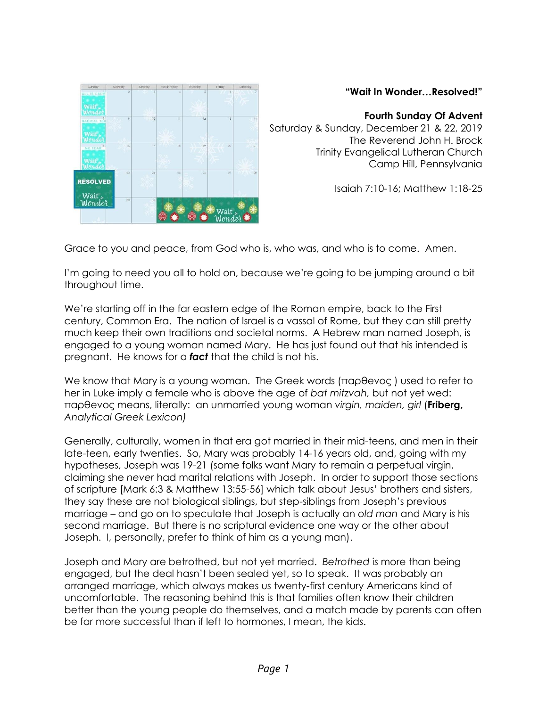| Sunday                               | Monday         | Tuesday   | Wechesday     | Thursday          | <b>Friday</b>  | Saturday            |
|--------------------------------------|----------------|-----------|---------------|-------------------|----------------|---------------------|
| <b>ALL IS CALM</b><br>Wait<br>Wonder | $\overline{2}$ | 3         | A             | 5                 | $\delta$       | $\overline{z}$<br>医 |
| <b>RADICAL 180</b><br>. .<br>Wait    | 9<br>56656     | 10        | $\mathbf{11}$ | 12                | 13             | 14<br>Pr PS         |
| 15.<br><b>NO FEAR</b><br>Jend        | 16             | 17        | $^{18}$       | 19                | 20             | 21                  |
| <b>RESOLVED</b>                      | $_{23}$        | 24<br>w m | 25            | 26<br>$\sim$<br>œ | 27             | 28                  |
| Wait in<br>m                         | 30             | 31        |               |                   | Wait<br>Wonder |                     |

## **"Wait In Wonder…Resolved!"**

## **Fourth Sunday Of Advent**

Saturday & Sunday, December 21 & 22, 2019 The Reverend John H. Brock Trinity Evangelical Lutheran Church Camp Hill, Pennsylvania

Isaiah 7:10-16; Matthew 1:18-25

Grace to you and peace, from God who is, who was, and who is to come. Amen.

I'm going to need you all to hold on, because we're going to be jumping around a bit throughout time.

We're starting off in the far eastern edge of the Roman empire, back to the First century, Common Era. The nation of Israel is a vassal of Rome, but they can still pretty much keep their own traditions and societal norms. A Hebrew man named Joseph, is engaged to a young woman named Mary. He has just found out that his intended is pregnant. He knows for a *fact* that the child is not his.

We know that Mary is a young woman. The Greek words (παρθeνος ) used to refer to her in Luke imply a female who is above the age of *bat mitzvah,* but not yet wed: παρθeνος means, literally: an unmarried young woman *virgin, maiden, girl* (**Friberg,**  *Analytical Greek Lexicon)*

Generally, culturally, women in that era got married in their mid-teens, and men in their late-teen, early twenties. So, Mary was probably 14-16 years old, and, going with my hypotheses, Joseph was 19-21 (some folks want Mary to remain a perpetual virgin, claiming she *never* had marital relations with Joseph. In order to support those sections of scripture [Mark 6:3 & Matthew 13:55-56] which talk about Jesus' brothers and sisters, they say these are not biological siblings, but step-siblings from Joseph's previous marriage – and go on to speculate that Joseph is actually an *old man* and Mary is his second marriage. But there is no scriptural evidence one way or the other about Joseph. I, personally, prefer to think of him as a young man).

Joseph and Mary are betrothed, but not yet married. *Betrothed* is more than being engaged, but the deal hasn't been sealed yet, so to speak. It was probably an arranged marriage, which always makes us twenty-first century Americans kind of uncomfortable. The reasoning behind this is that families often know their children better than the young people do themselves, and a match made by parents can often be far more successful than if left to hormones, I mean, the kids.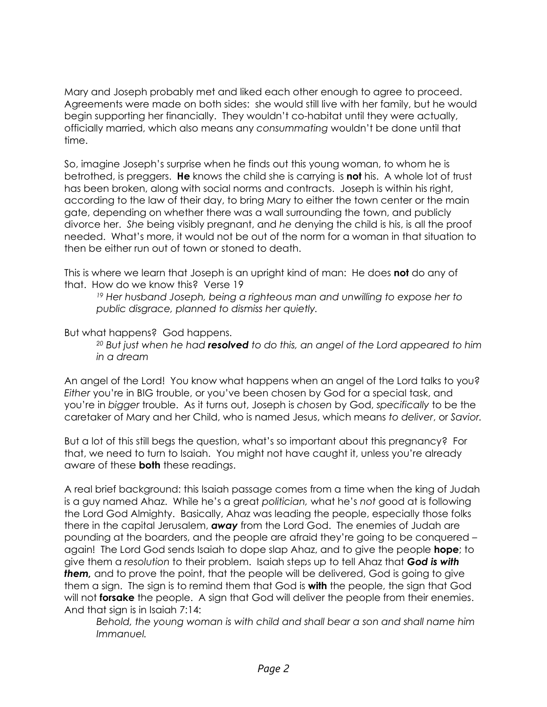Mary and Joseph probably met and liked each other enough to agree to proceed. Agreements were made on both sides: she would still live with her family, but he would begin supporting her financially. They wouldn't co-habitat until they were actually, officially married, which also means any *consummating* wouldn't be done until that time.

So, imagine Joseph's surprise when he finds out this young woman, to whom he is betrothed, is preggers. **He** knows the child she is carrying is **not** his. A whole lot of trust has been broken, along with social norms and contracts. Joseph is within his right, according to the law of their day, to bring Mary to either the town center or the main gate, depending on whether there was a wall surrounding the town, and publicly divorce her. *She* being visibly pregnant, and *he* denying the child is his, is all the proof needed. What's more, it would not be out of the norm for a woman in that situation to then be either run out of town or stoned to death.

This is where we learn that Joseph is an upright kind of man: He does **not** do any of that. How do we know this? Verse 19

*<sup>19</sup> Her husband Joseph, being a righteous man and unwilling to expose her to public disgrace, planned to dismiss her quietly.*

But what happens? God happens.

*<sup>20</sup> But just when he had resolved to do this, an angel of the Lord appeared to him in a dream*

An angel of the Lord! You know what happens when an angel of the Lord talks to you? *Either* you're in BIG trouble, or you've been chosen by God for a special task, and you're in *bigger* trouble. As it turns out, Joseph is *chosen* by God, *specifically* to be the caretaker of Mary and her Child, who is named Jesus, which means *to deliver*, or *Savior.*

But a lot of this still begs the question, what's so important about this pregnancy? For that, we need to turn to Isaiah. You might not have caught it, unless you're already aware of these **both** these readings.

A real brief background: this Isaiah passage comes from a time when the king of Judah is a guy named Ahaz. While he's a great *politician,* what he's *not* good at is following the Lord God Almighty. Basically, Ahaz was leading the people, especially those folks there in the capital Jerusalem, *away* from the Lord God. The enemies of Judah are pounding at the boarders, and the people are afraid they're going to be conquered – again! The Lord God sends Isaiah to dope slap Ahaz, and to give the people **hope**; to give them a *resolution* to their problem. Isaiah steps up to tell Ahaz that *God is with*  **them**, and to prove the point, that the people will be delivered, God is going to give them a sign. The sign is to remind them that God is **with** the people, the sign that God will not **forsake** the people. A sign that God will deliver the people from their enemies. And that sign is in Isaiah 7:14:

*Behold, the young woman is with child and shall bear a son and shall name him Immanuel.*